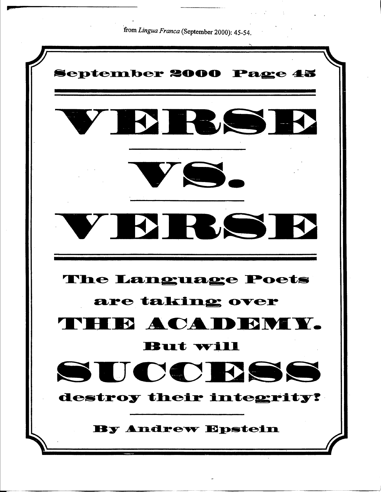from Lingua Franca (September 2000): 45-54.

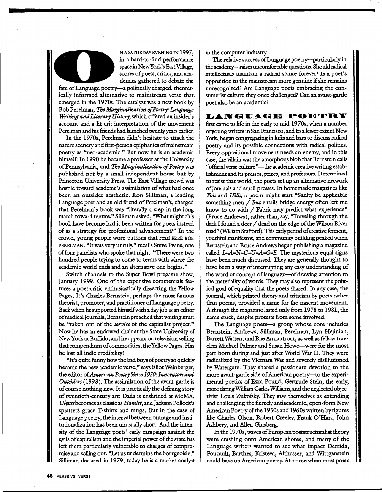

NASATURDAYEVBNINGIN 1997, in a hard-to-find performance space in New York's East Village, scores of poets, critics, and academics gathered to debate the

fate of Language poetry-a politically charged, theoretically informed alternative to mainstream verse that emerged in the 1970s. The catalyst was a new book by Bob Perelman, *TheMa~inalization of Poetry: Language*  . *Writing and Literary History,* which offered an insider's account and a lit-crit interpretation of the movement Perelman and his friends had lannched twenty years earlier.

In the 1970s, Perelman didn't hesitate to attack the nature scenery and first-person epiphanies of mainstream poetry as "neo-academic." But now he is an academic himself: In 1990 he became a professor at the University of Pennsylvania, and *The Marginalization of Poetry* was published not by a small independent house but by Princeton University Press. The East Village crowd was hostile toward academe's assimilation of what had once been an outsider aesthetic. Ron Silliman, a leading Language poet and an old friend of Perelman's, charged that Perelman's book was "literally a step in the long march toward tenure." Silliman asked, "What might this book have become had it been written for poets instead ·of as a strategy for professional advancement?" In the crowd, yonng people wore buttons that read FREE BOB PERELMAN. "It was very unruly," recalls Steve Evans, one of four panelists who spoke that night. "There were two hundred people trying to come to terms with where the academic world ends and an alternative one begins."

Switch channels to the Super Bowl pregame show, January 1999. One of the expensive commercials features a poet-critic enthusiastically dissecting the Yellow Pages. It's Charles Bernstein, perhaps the most famous theorist, promoter, and practitioner of Language poetry. Back when he supported himself with a day job as an editor of medical journals, Bernstein preached that writing must be "taken out of the *service* of the capitalist project." Now he has an endowed chair at the State University of New York at Buffalo, and he appears on television selling that compendium of commodities, the Yellow Pages. Has he lost all indie credibility?

"It's quite funny how the bad boys of poetry so quickly became the new academic verse," says Eliot Weinberger, the editor of *American Poetry Since 1950: Innovators and Outsiders* (1993). The assimilation of the avant-garde is of course nothing new. It is practically the defining story of twentieth-century art: Dada is enshrined at MoMA, *Ulysses* becomes as classic as *Hamlet,* and Jackson Pollock's splatters grace T-shirts and mugs. But in the case of Language poetry, the interval between outrage and institutionalization has been nnusually short. And the intensity of the Language poets' early campaign against the evils of capitalism and the imperial power of the state has left them particularly vulnerable to charges of compromise and selling out. "Let us undermine the bourgeoisie," Silliman declared in 1979; today he is a market analyst in the computer industry.

The relative success of Language poetry--particularly in the academy-raises uncomfortable questions. Should radical intellectuals maintain a radical stance forever? Is a poet's opposition to the mainstream more genuine if she remains unrecognized? Are Language poets embracing the consumerist culture they once challenged? Can an avant-garde poet also be an academic?

LANGUAGE POETRY

first came to life in the early to mid-1970s, when a number of yonng writers in San Francisco, and to a lesser extent New York, began congregating in lofts and bars to discuss radical · poetry and its possible connections with radical politics. Every oppositional movement needs an enemy, and in this case, the villain was the amorphous blob that Bernstein calls "official verse culture"-the academic creative writing establishment and its presses, prizes, and professors. Determined to resist that world, the poets set up an alternative network of journals and small presses. In homemade magazines like *This* and *Hills,* a poem might start "Sanity be applicable something men / *But* entails bridge energy often left me know to do with / Fabric may predict what experience" (Bruce Andrews), rather than, say, "Traveling through the dark I found a deer / dead on the edge of the Wilson River road" (William Stafford). This early period of creative ferment, youthful manifestos, and community building peaked when Bernstein and Bruce Andrews began publishing a magazine called  $L=A=N=G+L-A=G+E$ . The mysterious equal signs have been much discussed. They are generally thought to have been a way of interrupting any easy understanding of the word or concept of language-of drawing attention to the materiality of words. They may also represent the political goal of equality that the poets shared. In any case, the journal, which printed theory and criticism by poets rather than poems, provided a name for the nascent movement. Although the magazine lasted only from 1978 to 1981, the name stuck, despite protests from some involved.

The Language poets-a group whose core includes Bernstein, Andrews, Silliman, Perelman, Lyn Hejinian, Barrett Watten, and Rae Armantrout, as well as fellow travelers Michael Palmer and Susan Howe-were for the most part born during and just after World War II. They were radicalized by the Vietnam War and severely disillusioned by Watergate. They shared a passionate devotion to the more avant-garde side of American poetry-to the experimental poetics of Ezra Pound, Gertrude Stein, the early, more daring Wtlliam Carlos Wtlliams, and the neglected objectivist Louis Zukofsky. They saw themselves as extending and challenging the fiercely antiacademic, open-form New American Poetry of the 1950s and 1960s written by figures like Charles Olson, Robert Creeley, Frank O'Hara, John Ashbery, and Allen Ginsberg.

In the 1970s, waves of European poststructuralist theory were crashing onto American· shores, and many of the Language writers wanted to see what impact Derrida, Foucault, Barthes, Kristeva, Althusser, and Wittgenstein could have on American poetry. At a time when most poets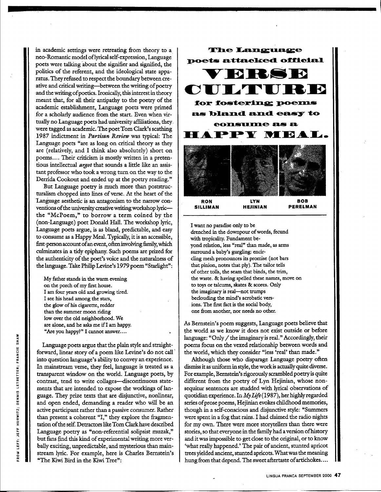in academic settings were retreating from theory to a neo- Romantic model oflyrical self-expression, Language poets were talking about the signifier and signified, the politics of the referent, and the ideological state apparatus. They refused to respect the boundary between creative and critical writing-between the writing of poetry and the writing of poetics. Ironically, this interest in theory meant that, for all their antipathy to the poetry of the academic establishment, Language poets were primed for a scholarly audience from the start. Even when virtually no Language poets had university affiliations, they. were tagged as academic. The poet Tom Clark's scathing 1987 indictment in *Partisan Review* was typical: The Language poets "are as long on critical theory as they are (relatively, and I think also absolutely) short on poems.... Their criticism is mostly written in a pretentious intellectual *argot* that sounds a little like an assistant professor who took a wrong turn on the way to the Derrida Cookout and ended up at the poetry reading."

But Language poetry is much more than poststructuralism chopped into lines of verse. At the heart of the Language aesthetic is an antagonism to the narrow conventions of the university creative writing workshop lyricthe "McPoem," to borrow a term coined by the (non-Language) poet Donald Hall. The workshop lyric, Language poets argue, is as bland, predictable, and easy to consume as a Happy Meal. Typically, it is an accessible, first-person account of an event, often involving family, which culminates in a tidy epiphany. Such poems are prized for the authenticity of the poet's voice and the naturalness of the language. Take Philip Levine's 1979 poem "Starlight":

My father stands in the warm evening on **the** porch of my first house. I am four years old and growing tired. I see his head among the stars, the glow of his cigarette, redder than the summer moon riding low over the old neighborhood. We are alone, and he asks me if I am happy. "Are you happy?" I cannot answer....

Language poets argue that the plain style and straightforward, linear story of a poem like Levine's do not call· into question language's ability to convey an experience. In mainstream verse, they feel, language is treated as a transparent window on the world. Language poets, by contrast, tend to write collages-discontinuous statements that are intended to expose the workings of language. They prize texts that are disjunctive, nonlinear, and open ended, demanding a reader who wili be an active participant rather than a passive consumer. Rather acuve participant radius times a process section of the fragmentation of the self. Detractors like Tom Clark have described Language poetry as "non-referential solipsist muzak," but fans find this kind of experimental writing more verbally exciting, unpredictable, and mysterious than mainstream lyric. For example, here is Charles Bernstein's "The Kiwi Bird in the Kiwi Tree":



I want no paradise only to be drenched in the downpour of words, fecund with tropicality. Fundament beyond relation, less "real" than made, as arms surround a baby's gurgling: encircling mesh pronounces its promise (not bars that pinion, notes that ply). The tailor tells of other tolls, the seam that binds, the trim, the waste. & having spelled these names, move on to toys or talcums, skates & scores. Only the imaginary is real-not trumps beclouding the mind's acrobatic versions. The first fact is the social body, one from another, nor needs no other.

As Bernstein's poem suggests, Language poets believe that the world as we know it does not exist outside or before language: "Only/ the imaginary is real." Accordingly, their poems focus on the vexed relationship between words and the world, which they consider "less 'real' than made."

Although those who disparage Language poetry often dismiss it as uniform in style, the work is actually quite diverse. For example, Bernstein's rigorously scrambled poetry is quite different from the poetry of Lyn Hejinian, whose nonsequitur sentences are studded with lyrical observations of quotidian experience. In *My Life* ( 1987), her highly regarded series of prose poems, Hejinian evokes childhood memories, though in a self-conscious and disjunctive style: "Summers were spent in a fog that rains. I had claimed the radio nights for my own. There were more storytellers than there were stories, so that everyone in the family had a version of history and it was impossible to get close to the original, or to know 'what really happened.' The pair of ancient, stunted apricot trees yielded ancient, stunted apricots. What was the meaning hung from that depend. The sweet aftertaste of artichokes ....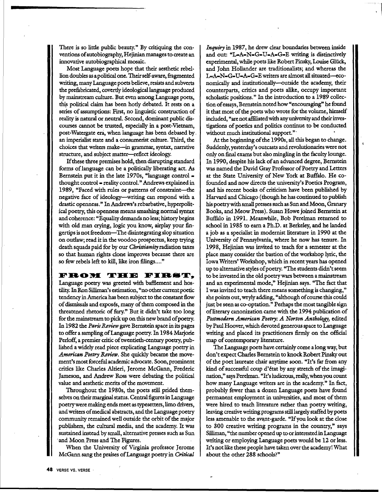There is so little public beauty." By critiquing the conventions of autobiography, Hejinian manages to create an innovative autobiographical mosaic.

Most Language poets hope that their aesthetic rebellion doubles as a political one. Their self-aware, fragmented writing, many Language poets believe, resists and subverts the prefabricated, covertly ideological language produced by mainstream culture. But even among Language poets, this political claim has been hotly debated. It rests on a series of assumptions: First, no linguistic construction of reality is natural or neutral. Second, dominant public discourses cannot be trusted, especially in a post-Vietnam, post-Watergate era, when language has been debased by. an imperialist state and a consumerist culture. Third, the choices that writers make-in grammar, syntax, narrative structure, and subject matter-reflect ideology.

If these thtee premises hold, then disrupting standard forms of language can be a politically liberating act. As Bernstein put it in the late 1970s, "language control  $=$ thought control = reality control." Andrews explained in 1989, "Faced with rules or patterns of constraint-the negative face of ideology-writing can respond with a drastic openness." In Andrews's rebarbative, hyperpolitical poetry, this openness means smashing normal syntax and coherence: "Equality demands no less; history begins with old man crying, logic you know, airplay your fingertips is not freedom-The disintegrating slop situation on outlaw; read it in the voodoo prospectus, keep trying death squads paid for by our *Christianity* radiation taxes so that human rights clone improves because there are so few rebels left to kill, like iron filings...."

#### FROM THE FIRST,

Language poetry was greeted with bafflement and hostility. In Ron Silliman's estimation, "no other current poetic tendency in America has been subject to the constant flow of dismissals and exposes, many of them composed in the threatened rhetoric of fury." But it didn't take too long for the mainstream to pick up on this new brand of poetry. In 1982 the *Paris Review* gave Bernstein space in its pages to offer a sampling ofLanguage poetry. In 1984 Marjorie Perloff, a premier critic of twentieth-century poetry, published a widely read piece explicating Language poetry in American Poetry Review. She quickly became the movement's most forceful academic advocate. Soon, prominent critics like Charles Altieri, Jerome McGann, Frederic Jameson, and Andrew Ross were debating the political value and aesthetic merits of the movement.

Throughout the 1980s, the poets still prided themselves on their marginal status. Central figures in Language poetry were making ends meet as typesetters, limo drivers, and writers of medical abstracts, and the Language poetry community remained well outside the orbit of the major publishers, the cultural media, and the academy. It was sustained instead by small, alternative presses such as Sun and Moon Press and The Figures.

When the University of Virginia professor Jerome McGann sang the praises of Language poetry in *Critical*  *Inquiry* in 1987, he drew clear boundaries between inside and out: " $L=A=N=G-U=A=G=E$  writing is distinctively experimental, while poets like Robert Pinsky, Louise Gluck, and John Hollander are traditionalists; and whereas the L-A-N•G-U-A-G-E writers are almost all situated-economically and institutionally-outside the academy, their counterparts, critics and poets alike, occupy important scholastic positions." In the introduction to a 1989 collection of essays, Bernstein noted how "encouraging" he found it that most of the poets who wrote for the volume, himself included, "are not affiliated with any university and their investigations of poetics and politics continue to be conducted without much institutional support."·

At the beginning of the 1990s, all this began to change. Suddenly, yesterday's outcasts and revolutionaries were not only on final exams but also mingling in the faculty lounge. In 1990, despite his lack of an advanced degree, Bernstein was named the David Gray Professor of Poetry and Letters at the State University of New York at Buffalo. He cofounded and now directs the university's Poetics Program, and his recent books of criticism have been published by Harvard and Chicago ( though he has continued to publish his poetrywith small presses such as Sun and Moon, Granary Books, and Meow Press). Susan Howe joined Bernstein at Buffalo in 1991. Meanwhile, Bob Perelman returned to school in 1985 to earn a Ph.D. at Berkeley, and he landed a job as a specialist in modernist literature in 1990 at the University of Pennsylvania, where he now has tenure. In 1998, Hejinian was invited to teach for a semester at the place many consider the bastion of the workshop lyric, the Iowa Writers' Workshop, which in recent years has opened up to alternative styles of poetry. "The students didn't seem to be invested in the old poetry wars between a mainstream and an experimental mode," Hejinian says. "The fact that I was invited to teach there means something is changing," she points out, wryly adding, "although of course this could just be seen as co-optation." Perhaps the most tangible sign of literary canonization came with the 1994 publication of *Postmodern American Poetry: A Norton Anthology,* edited by Paul Hoover, which devoted generous space to Language writing and placed its practitioners firmly on the official map of contemporary literature.

The Language poets have certainly come along way, but don't expect Charles Bernstein to knock Robert Pinsky out of the poet laureate chair anytime soon. "It's far from any kind of successful coup d'état by any stretch of the imagination," says Perelman. "It's ludicrous, really, when you count how many Language writers are in the academy." In fact, probably fewer than a dozen Language poets have found permanent employment in universities, and most of them were hired to teach literature rather than poetry writing, leaving creative writing programs still largely staffed by poets less amenable to the avant-garde. "If you look at the close to 300 creative writing programs in the country," says Silliman, "the number opened up to or interested in Language writing or employing Language poets would be 12 or less. It's not like these people have taken over the academy! What about the other 288 schools?"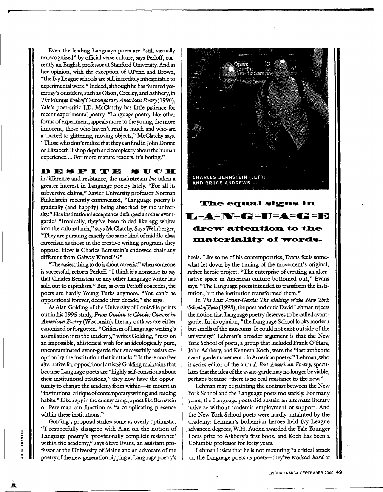Even the leading Language poets are "still virtually unrecognized" by official verse culture, says Perloff, currently an English professor at Stanford University. And in her opinion, with the exception of UPenn and Brown, "the Ivy League schools are still incredibly inhospitable to experimental work." Indeed, although he has featured yesterday's outsiders, such as Olson, Creeley, and Ashbery, in *The Vintage Book of Contemporary American Poetry(l990),*  Yale's poet-critic J.D. McClatchy has little patience for recent experimental poetry. "Language poetry, like other forms of experiment, appeals more to the young, the more innocent, those who haven't read as much and who-are attracted to glittering, moving objects," McClatchy says. "Those who don't realize that they can find in John Donne or Elizabeth Bishop depth and complexity about the human experience.... For more mature readers, it's boring."

#### **DEMPITE MUOII**

indifference and resistance, the mainstream *has* taken a greater interest in Language poetry lately. "For all its subversive claims," Xavier University professor Norman Finkelstein recently commented, "Language poetry is gradually (and happily) being absorbed by the university." Has institutional acceptance defanged another avantgarde? "Ironically, they've been folded like egg whites into the cultural mix," says McClatchy. Says Weinberger, "They are pursuing exactly the same kind of middle-class careerism as those in the creative writing programs they oppose. How is Charles Bernstein's endowed chair any different from Galway Kinnell's?"

"The easiest thing to do is shout careerist" when someone is successful, retorts Perloff. "I think it's nonsense to say that Charles Bernstein or any other Language writer has sold out to capitalism." But, as even Perloff concedes, the poets are hardly Young Turks anymore. "You can't be oppositional forever, decade after decade," she says.

As Alan Golding of the University of Louisville points out in his 1995 study, *From Outlaw to Classic: Canons in* American Poetry (Wisconsin), literary outlaws are either canonized or forgotten. "CriticismofLanguage writing's assimilation into the academy," writes Golding, "rests on an impossible, ahistorical wish for an ideologically pure, uncontaminated avant-garde that successfully resists cooption by the institution that it attacks." Is there another alternative for oppositional artists? Golding maintains that because Language poets are "highly self-conscious about their institutional relations," they now have the opportunity to change the academy from within-to mount an "institutional critique of contemporary writing and reading habits." Like a spy in the enemy camp, a poet like Bernstein or Perelman can function as "a complicating presence within these institutions."

Golding's proposal strikes some as overly optimistic. "I respectfully disagree with Alan on the notion of Language poetry's 'provisionally complicit resistance' within the academy," says Steve Evans, an assistant professor at the University of Maine and an advocate of the poetry of the new generation nipping at Language poetry's

TRANTER<br>.

:z: :,: 0 .,



## The equal signs in **L=A=N=G=U=A=G=E** drew attention to the **Inateriality of words.**

heels. Like some of his contemporaries, Evans feels somewhat let down by the taming of the movement's original, rather heroic project. "The enterprise of creating an alternative space in American culture bottomed out," Evans says. "The Language poets intended to transform the institution, but the institution transformed them."

In *The Last Avant-Garde: The Making of the New York •Schoo/of Poets(l998* ), the poet and critic David Lehman rejects the notion that Language poetry deserves to be called avantgarde. In his opinion, "the Language School looks modern but smells of the museums. It could not exist outside of the university." Lehman's broader argument is that the New York School of poets, a group that included Frank O'Hara, John Ashbery, and Kenneth Koch, were the "last authentic avant-garde movement... in American poetry." Lehman, who is series editor of the annual *Best American Poetry*, speculates that the idea of the avant-garde may no longer be viable, perhaps because "there is no real resistance to the new."

Lehman may be painting the contrast between the New York School and the Language poets too starkly. For many years, the Language poets did sustain an alternate literary universe without academic employment or support. And the New York School poets were hardly untainted by the academy: Lehman's bohemian heroes held Ivy League advanced degrees, W.H. Auden awarded the Yale Younger Poets prize to Ashbery's first book, and Koch has been a Columbia professor for forty years.

Lehman insists that he is not mounting "a critical attack on the Language poets as poets-they've worked *hard* at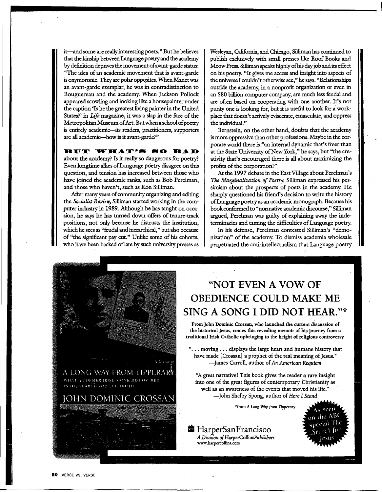it-and some are really interesting poets." But he believes that the kinship between Language poetry and the academy by definition deprives the movement of avant-garde status: "The idea of an academic movement that is avant-garde is oxymoronic. They are polar opposites. When Manet was an avant-garde exemplar, he was in contradistinction to Bouguereau and the academy. When Jackson Pollock appeared scowling and looking like a housepainter under the caption 'Is he the greatest living painter in the United States?' in *Life* magazine, it was a slap in the face of the Metropolitan Museum of Art. Butwhen a school of poetry is entirely academic-its readers, practitioners, supporters are all academic-how is it avant-garde?"

#### **HUT WHAT'S SO BAD**

about the academy? Is it really so dangerous for poetry? Even longtime allies of Language poetry disagree on this question, and tension has increased between those who have joined the academic ranks, such as Bob Perelman, and those who haven't, such as Ron Silliman.

After many years of community organizing and editing the *Socialist Review*, Silliman started working in the computer industry in 1989. Although he has taught on occasion, he says he has turned down offers of tenure-track positions, not only because he distrusts the institution, which he sees as "feudal and hierarchical," but also because of "the significant pay cut." Unlike some of his cohorts, who have been backed of late by such university presses as Wesleyan, California, and Chicago, Silliman has continued to publish exclusively with small presses like Roof Books and Meow Press. Silliman speaks highly ofhis day job and its effect on his poetry. "It gives me access and insight into aspects of the universe I couldn't otherwise see," he says. "Relationships outside the academy, in a nonprofit organization or even in an \$80 billion computer company, are much less feudal and are often based on cooperating with one another. It's not purity one is looking for, but it is useful to look for a workplace that doesn't actively eviscerate, emasculate, and oppress the individual."

Bernstein, on the other hand, doubts that the academy is more oppressive than other professions. Maybe in the corporate world there is "an internal dynamic that's freer than at the State University of New York," he says, but "the creativity that's encouraged there is all about maximizing the profits of the corporation!".

At the 1997 debate in the East Village about Perelman's The Marginalization of Poetry, Silliman expressed his pessimism about the prospects of poets in the academy. He sharply questioned his friend's decision to write the history ofLanguage poetry as an academic monograph. Because his book conformed to "normative academic discourse," Silliman argued, Perelman was guilty of explaining away the indeterminacies and taming the difficulties of Language poetry.

In his defense, Perelman contested Silliman's "demonization" of the academy. To dismiss academia wholesale perpetuated the anti-intellectualism that Language poetry



## **"NOT EVEN A VOW OF OBEDIENCE COULD MAKE ME SING A SONG I DID NOT HEAR."\***

FromJohn Dominic Crossan, who launched the current discussion of the historical Jesus, comes this revealing memoir of his journey from a traditional Irish Catholic upbringing to the height of religious controversy.

"... moving ... displays the large heart and humane history that have made [ Crossan] a prophet of the real meaning of Jesus." -James Carroll, author of *An American Requiem* 

"A great narrative! This book gives the reader **a rare insight**  into one of the great figures of contemporary Christianity as well as an awareness of the events that moved his life." -John Shelby Spong, author of *Here* I *Stand* 

•from *A* Long *Way from Tipperary* 

• HarperSanF rancisco *A Division of HarperCollinsPublishers*  www.harpercollins.com

 $the AB<sup>o</sup>$ <sub>necial</sub> The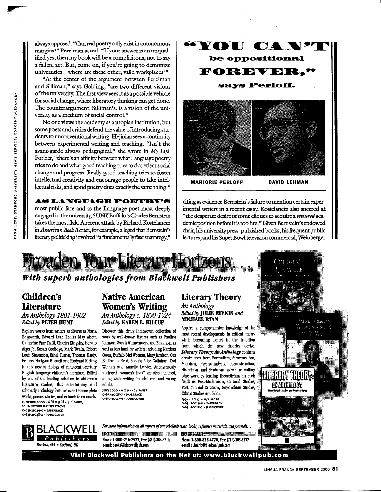always opposed. "Can real poetry only exist in autonomous margins?" Perelman asked. "If your answer is an unqualified yes, then my book will be a complicitous, not to say a fallen, act. But, come on, if you're going to demonize universities—where are these other, valid workplaces?"

"At the center of the argument between Perelman and Silliman," says Golding, "are two different visions of the university. The first view sees it as a possible vehicle for social change, where liberatory thinking can get done. The counterargument, Silliman's, is a vision of the university as a medium of social control."

No one views the academy as a utopian institution, but some poets and critics defend the value of introducing students to unconventional writing. Hejinian sees a continuity between experimental writing and teaching. "Isn't the avant-garde always pedagogical," she wrote in My Life. For her, "there's an affinity between what Language poetry tries to do and what good teaching tries to do: effect social change and progress. Really good teaching tries to foster intellectual creativity and encourage people to take intellectual risks, and good poetry does exactly the same thing."

**AS LANGUAGE POETRYS** most public face and as the Language poet most deeply engaged in the university, SUNY Buffalo's Charles Bernstein takes the most flak. A recent attack by Richard Kostelanetz in American Book Review, for example, alleged that Bernstein's literary politicking involved "a fundamentally fascist strategy,"



citing as evidence Bernstein's failure to mention certain experimental writers in a recent essay. Kostelanetz also sneered at "the desperate desire of some cliques to acquire a tenured academic position before it is too late." Given Bernstein's endowed chair, his university press-published books, his frequent public lectures, and his Super Bowl television commercial, Weinberger

> $G$ Hildra NS  $f$ merature

**AC ACTION OF** 

WORR'S BEING



## With superb anthologies from Blackwell Publishers

## **Children's Literature**

#### An Anthology 1801-1902 **Edited by PETER HUNT**

Explore works from writers as diverse as Maria Edgeworth, Edward Lear, Louisa May Alcott, Catherine Parr Traill, Charles Kingsley, Horatio Alger Jr., Susan Coolidge, Mark Twain, Robert Louis Stevenson, Ethel Turner, Thomas Hardy, Frances Hodgson Burnett and Rudyard Kipling in this new anthology of nineteenth-century English-language children's literature. Edited by one of the leading scholars in children's literature studies, this entertaining and scholarly anthology features over 120 complete works, poems, stories, and extracts from novels. OCTOBER 2000 - 6 % x 9 % - 416 PAGES, **IO HALFTONE ILLUSTRATIONS** 0-631-21049-0 - PAPERBACK

#### O-631-21048-2 - HARDCOVER

# Boston, MA . Oxford, UK

#### **Native American Women's Writing** An Anthology c. 1800-1924 **Edited by KAREN L. KILCUP**

Discover this richly interwoven collection of work by well-known figures such as Pauline Johnson, Sarah Winnemucca and Zitkala-a, as well as less familiar writers including Narcissa Owen, Buffalo Bird Woman, Mary Jemison, Ora Eddleman Reed, Sophia Alice Callahan, Owl Woman and Annette Leevier. Anonymously authored "women's texts" are also included. along with writing by children and young adults.

JULY 2000 - 6 X 9 - 464 PAGES<br>0-631-20518-7 - PAPBRBACK<br>0-631-20517-9 - HARDCOVER

#### **Literary Theory** An Anthology Edited by JULIE RIVKIN and

**MICHAEL RYAN** Acquire a comprehensive knowledge of the most recent developments in critical theory while becoming expert in the tradition from which the new theories derive. Literary Theory: An Anthology contains classic texts from Formalism. Structuralism. Marxism, Psychoanalysis, Deconstruction, Historicism and Feminism, as well as cutting edge work by leading theoreticians in such fields as Post-Modernism, Cultural Studies, Post-Colonial Criticism, Gay/Lesbian Studies, Ethnic Studies and Film. 1998 - 6 x 9 - 1152 PAGES 0-631-20029-0 - PAPERBACK<br>0-631-20029-0 - PAPERBACK<br>0-631-20028-2 - HARDCOVER

For more information on all aspects of our scholarly texts, books, reference materials, and journals...

**ROOKSERINGSTERN STATES (SOUTH)** Phone: 1-800-216-2522, Fax: (781)-388-8210. e-mail: books@blackwellpub.com

Phone: 1-800-835-6770, Fax: (781)-388-8232, e-mail: subscrip@blackwellpub.com

Visit Blackwell Publishers on the Net at: www.blackwellpub.com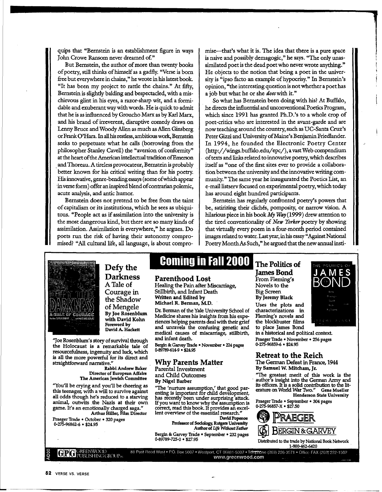quips that "Bernstein is an establishment figure in ways John Crowe Ransom never dreamed 0£"

But Bernstein, the author of more than twenty books of poetry, still thinks of himself as a gadfly. "Verse is born free but everywhere in chains," he wrote in his latest book. "It has been my project to rattle the chains." At fifty, Bernstein is slightly balding and bespectacled, with a mischievous glint in his eyes, a razor-sharp wit, and a formidable and exuberant way with words. He is quick to admit that he is as influenced by Groucho Marx as by Karl Marx, and his brand of irreverent, disruptive comedy draws on Lenny Bruce and Woody Allen as much as Allen Ginsberg or Frank O'Hara. In all his restless, ambitious work, Bernstein seeks to perpetuate what he calls (borrowing from the philosopher Stanley Cavell) the "aversion of conformity" at the heart of the American intellectual tradition ofEmerson . and Thoreau. A tireless provocateur, Bernstein is probably better known for his critical writing than for his poetry. His innovative, genre-bending essays ( some of which appear in verse form) offer an inspired blend of contrarian polemic, acute analysis, and antic humor.

Bernstein does not pretend to be free from the taint of capitalism or its institutions, which he sees as ubiquitous. "People act as if assimilation into the university is the most dangerous kind, but there are so many kinds of assimilation. Assimilation is everywhere," he argues. Do poets run the risk of having their autonomy compromised? "All cultural life, all language, is about compromise-that's what it is. The idea that there is a pure space is naive and possibly demagogic," he says. "The only unassimilated poet is the dead poet who never wrote anything." He objects to the notion that being a poet in the university is "ipso facto an example of hypocrisy." In Bernstein's opinion, "the interesting question is not whether a poet has a job but what he or she *does* with it."

So what has Bernstein been doing with his? At Buffalo, .he directs the influential and unconventional Poetics Program, which since 1991 has granted Ph.D.'s to a whole crop of poet-critics who are interested in the avant-garde and are now teaching around the country, such as UC-Santa Cruz's Peter Gizzi and University of Maine's Benjamin Friedlander. In 1994, he founded the Electronic Poetry Center (http:/ /wings.buffalo.edu/ epc/), a vast Web compendium of texts and links related to innovative poetry, which describes itself as "one of the first sites ever to provide a collaboration between the university and the innovative writing community." The same year he inaugurated the Poetics List, an e-mail listserv focused on experimental poetry, which today has around eight hundred participants.

Bernstein has regularly confronted poetry's powers that be, satirizing their clichés, pomposity, or narrow vision. A hilarious piece in his book *My Way* (1999) drew attention to the tired conventionality of *New Yorker* poetry by showing that virtually every poem in a four-month period contained images related to water. Last year, in his essay" Against National Poetry Month As Such," he argued that the new annual insti-



**Defy the Darkness**  A Tale of Courage in the Shadow of Mengele **By Joe Rosenblum** 

"Joe Rosenblum's story of survival through the Holocaust is a remarkable tale of resourcefulness, ingenuity and luck, which is all the more powerful for its direct and straightforward narrative."

**Rabbi Andrew Baker**  Director of European Affairs **The American Jewish Committee** 

"You'll be crying and you'll be cheering as this teenager, with a will to survive against all odds though he's reduced to a starving animal, outwits the Nazis at their own game. It's an emotionally charged saga." Arthur Hiller, Film Director

Praeger Trade • October • 320 pages 0-275-96862-6 • \$24.95

 $~\rm{GPO}$  GREENWOOD

## **Coming in Fall 2000 The Politics of**

#### **Parenthood Lost**

Healing the Pain after Miscarriage, Stillbirth, and Infant Death **Written and Edited by**  Michael R. Berman, M.D.

Dr. Berman of the Yale University School of Medicine shares his insights from his experiences helping parents deal with their grief and unravels the confusing genetic and medical causes of miscarriage, stillbirth, and infant death.

Bergin & Garvey Trade · November · 224 pages 0-89789-614-9 • \$24.95 .

#### **Why Parents Matter**

Parental Investment and Child Outcomes **By Nigel Barber** 

"The 'nurture assumption,' that good parenting is important for child development, has recently been under surprising attack. If you want to know why the assumption is correct, read this book. It provides an excellent overview of the essential research."

**Oavld Popenoe**  Professor of Sodolo~ Rutgers Unlvemity Author of *Life Without Father* 

Bergin & Garvey Trade • September • 232 pages 0-89789-725-0 • \$27.95

**James Bond** 

From Fleming's Novels to the Big Screen By Jeremy **Black**  Uses the plots and characterizations in Fleming's novels and the blockbuster films



to place James Bond in a historical and political context. Praeger Trade • November • 256 pages 0-275-96859-6 • \$24.95

#### **Retreat to the Reich**

The German Defeat in France, 1944 **By Samuel W. Mitcham, Jr.** 

"The greatest merit of this work is the author's insight into the German Army and its officers. It is a solid contribution to the literature on World War Two." **Gene Mueller Henderson State University** 

Praeger Trade • September • 304 pages 0-275-96857-X • \$27.50



88 Post Road West • P.O. Box 5007 • Westport, CT 06881-5007 • Telephrone (203) 226-3571 • Office FAX (203) 222-1502<br>www.greenwood.com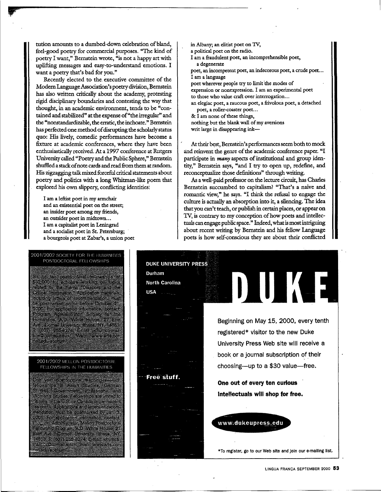tution amounts to a dumbed-down celebration of bland, feel-good poetry for commercial purposes. "The kind of poetry I want," Bernstein wrote, "is not a happy art with uplifting messages and easy-to-understand emotions. I want a poetry that's bad for you."

Recently elected to the executive committee of the Modern Language Association's poetry division, Bernstein has also written critically about the academy, protesting rigid disciplinary boundaries and contesting the way that thought, in an academic environment, tends to be "contained and stabilized" at the expense of "the irregular" and the "nonstandardizable, the erratic, the inchoate." Bernstein has perfected one method of disrupting the scholarly status quo: His lively, comedic performances have become a fixture at academic conferences, where they have been enthusiastically received. At a 1997 conference at Rutgers University called "Poetry and the Public Sphere," Bernstein shuffled a stack ofnote cards and read from them at random. His zigzagging talk mixed forceful critical statements about poetry and politics with a long Whitman-like poem that explored his own slippery, conflicting identities:

I am a leftist poet in my armchair and an existential poet on the street; an insider poet among my friends, an outsider poet in midtown... I am a capitalist poet in Leningrad and a socialist poet in St. Petersburg; a bourgeois poet at Zabar's, a union poet

- in Albany; an elitist poet on TV,
- a political poet on the radio.
- I am a fraudulent poet, an incomprehensible poet, a degenerate

poet, an incompetent poet, an indecorous poet, a crude poet... I am a language

poet wherever people try to limit 'the modes of expression or nonexpression. I am an experimental poet to those who value craft over interrogation...

- an elegiac poet, a raucous poet, a frivolous poet, a detached poet, a roller-coaster poet...
- & I am none of these things,
- nothing but the blank wall of my aversions
- writ large in disappearing ink-

At their best, Bernstein's performances seem both to mock and reinvent the genre of the academic conference paper. "I participate in *many* aspects of institutional and group identity," Bernstein says, "and I try to open up, redefine, and reconceptualize those definitions" through writing.

As a well-paid professor on the lecture circuit, has Charles Bernstein succumbed to capitalism? "That's a naive and romantic view," he says. "I think the refusal to engage the culture is actually an absorption into it, a silencing. The idea that you can't teach, or publish in certain places, or appear on TV, is contrary to my conception of how poets and intellectuals can engage public space." Indeed, what is most intriguing about recent writing by Bernstein and his fellow Language poets is how self-conscious they are about their conflicted